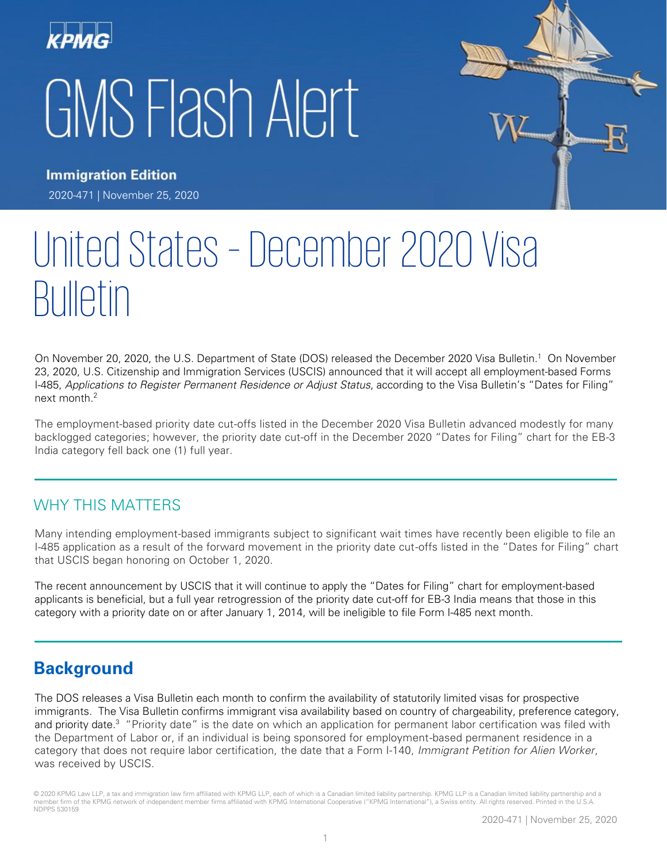



**Immigration Edition** 2020-471 | November 25, 2020

# United States – December 2020 Visa Bulletin

On November 20, 2020, the U.S. Department of State (DOS) released the December 2020 Visa Bulletin.<sup>1</sup> On November 23, 2020, U.S. Citizenship and Immigration Services (USCIS) announced that it will accept all employment-based Forms I-485, Applications to Register Permanent Residence or Adjust Status, according to the Visa Bulletin's "Dates for Filing" next month. 2

The employment-based priority date cut-offs listed in the December 2020 Visa Bulletin advanced modestly for many backlogged categories; however, the priority date cut-off in the December 2020 "Dates for Filing" chart for the EB-3 India category fell back one (1) full year.

## WHY THIS MATTERS

Many intending employment-based immigrants subject to significant wait times have recently been eligible to file an I-485 application as a result of the forward movement in the priority date cut-offs listed in the "Dates for Filing" chart that USCIS began honoring on October 1, 2020.

The recent announcement by USCIS that it will continue to apply the "Dates for Filing" chart for employment-based applicants is beneficial, but a full year retrogression of the priority date cut-off for EB-3 India means that those in this category with a priority date on or after January 1, 2014, will be ineligible to file Form I-485 next month.

# **Background**

The DOS releases a Visa Bulletin each month to confirm the availability of statutorily limited visas for prospective immigrants. The Visa Bulletin confirms immigrant visa availability based on country of chargeability, preference category, and priority date.<sup>3</sup> "Priority date" is the date on which an application for permanent labor certification was filed with the Department of Labor or, if an individual is being sponsored for employment-based permanent residence in a category that does not require labor certification, the date that a Form I-140, *Immigrant Petition for Alien Worker*, was received by USCIS.

© 2020 KPMG Law LLP, a tax and immigration law firm affiliated with KPMG LLP, each of which is a Canadian limited liability partnership. KPMG LLP is a Canadian limited liability partnership and a member firm of the KPMG network of independent member firms affiliated with KPMG International Cooperative ("KPMG International"), a Swiss entity. All rights reserved. Printed in the U.S.A. NDPPS 530159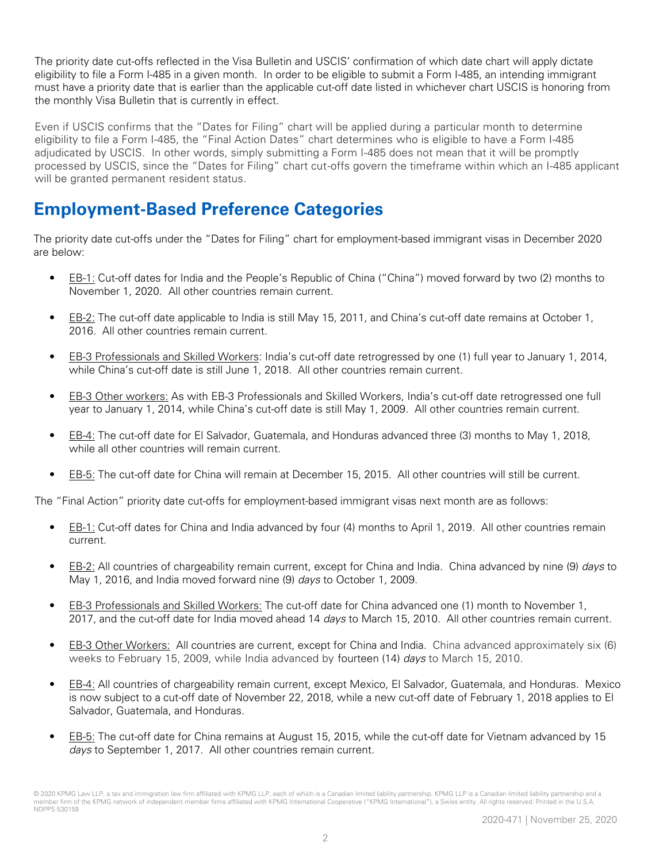The priority date cut-offs reflected in the Visa Bulletin and USCIS' confirmation of which date chart will apply dictate eligibility to file a Form I-485 in a given month. In order to be eligible to submit a Form I-485, an intending immigrant must have a priority date that is earlier than the applicable cut-off date listed in whichever chart USCIS is honoring from the monthly Visa Bulletin that is currently in effect.

Even if USCIS confirms that the "Dates for Filing" chart will be applied during a particular month to determine eligibility to file a Form I-485, the "Final Action Dates" chart determines who is eligible to have a Form I-485 adjudicated by USCIS. In other words, simply submitting a Form I-485 does not mean that it will be promptly processed by USCIS, since the "Dates for Filing" chart cut-offs govern the timeframe within which an I-485 applicant will be granted permanent resident status.

# **Employment-Based Preference Categories**

The priority date cut-offs under the "Dates for Filing" chart for employment-based immigrant visas in December 2020 are below:

- EB-1: Cut-off dates for India and the People's Republic of China ("China") moved forward by two (2) months to November 1, 2020. All other countries remain current.
- EB-2: The cut-off date applicable to India is still May 15, 2011, and China's cut-off date remains at October 1, 2016. All other countries remain current.
- EB-3 Professionals and Skilled Workers: India's cut-off date retrogressed by one (1) full year to January 1, 2014, while China's cut-off date is still June 1, 2018. All other countries remain current.
- EB-3 Other workers: As with EB-3 Professionals and Skilled Workers, India's cut-off date retrogressed one full year to January 1, 2014, while China's cut-off date is still May 1, 2009. All other countries remain current.
- EB-4: The cut-off date for El Salvador, Guatemala, and Honduras advanced three (3) months to May 1, 2018, while all other countries will remain current.
- EB-5: The cut-off date for China will remain at December 15, 2015. All other countries will still be current.

The "Final Action" priority date cut-offs for employment-based immigrant visas next month are as follows:

- EB-1: Cut-off dates for China and India advanced by four (4) months to April 1, 2019. All other countries remain current.
- EB-2: All countries of chargeability remain current, except for China and India. China advanced by nine (9) days to May 1, 2016, and India moved forward nine (9) days to October 1, 2009.
- EB-3 Professionals and Skilled Workers: The cut-off date for China advanced one (1) month to November 1, 2017, and the cut-off date for India moved ahead 14 days to March 15, 2010. All other countries remain current.
- EB-3 Other Workers: All countries are current, except for China and India. China advanced approximately six (6) weeks to February 15, 2009, while India advanced by fourteen (14) days to March 15, 2010.
- EB-4: All countries of chargeability remain current, except Mexico, El Salvador, Guatemala, and Honduras. Mexico is now subject to a cut-off date of November 22, 2018, while a new cut-off date of February 1, 2018 applies to El Salvador, Guatemala, and Honduras.
- EB-5: The cut-off date for China remains at August 15, 2015, while the cut-off date for Vietnam advanced by 15 days to September 1, 2017. All other countries remain current.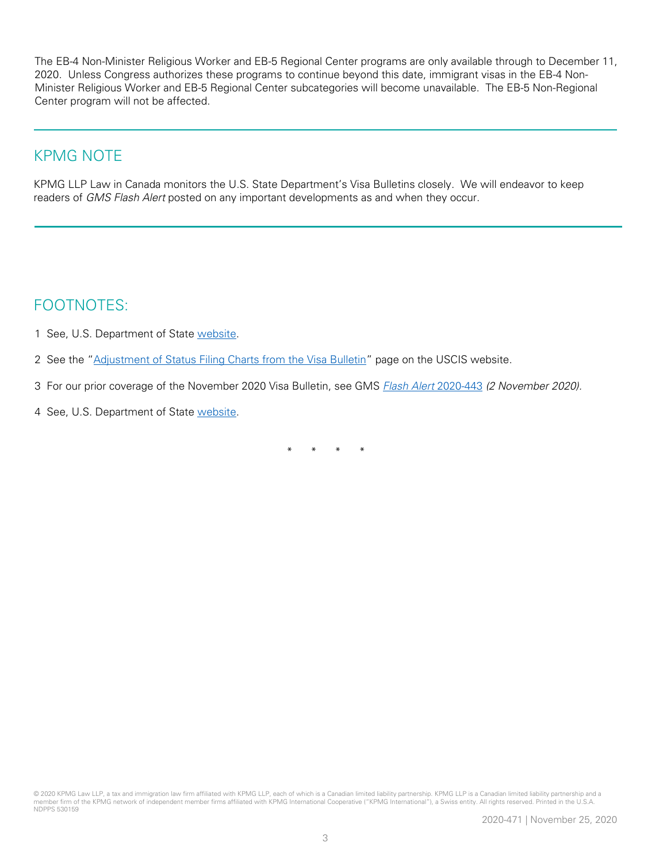The EB-4 Non-Minister Religious Worker and EB-5 Regional Center programs are only available through to December 11, 2020. Unless Congress authorizes these programs to continue beyond this date, immigrant visas in the EB-4 Non-Minister Religious Worker and EB-5 Regional Center subcategories will become unavailable. The EB-5 Non-Regional Center program will not be affected.

## KPMG NOTE

KPMG LLP Law in Canada monitors the U.S. State Department's Visa Bulletins closely. We will endeavor to keep readers of GMS Flash Alert posted on any important developments as and when they occur.

## FOOTNOTES:

- 1 See, U.S. Department of State [website.](https://travel.state.gov/content/travel/en/legal/visa-law0/visa-bulletin/2021/visa-bulletin-for-november-2020.html)
- 2 See the "[Adjustment of Status Filing Charts from the Visa Bulletin](https://www.uscis.gov/green-card/green-card-processes-and-procedures/visa-availability-priority-dates/adjustment-of-status-filing-charts-from-the-visa-bulletin)" page on the USCIS website.
- 3 For our prior coverage of the November 2020 Visa Bulletin, see GMS *[Flash Alert](https://home.kpmg/xx/en/home/insights/2020/11/flash-alert-2020-443.html)* 2020-443 *(2 November 2020).*
- 4 See, U.S. Department of State [website.](https://travel.state.gov/content/travel/en/legal/visa-law0/visa-bulletin/2021/visa-bulletin-for-november-2020.html)

\* \* \* \*